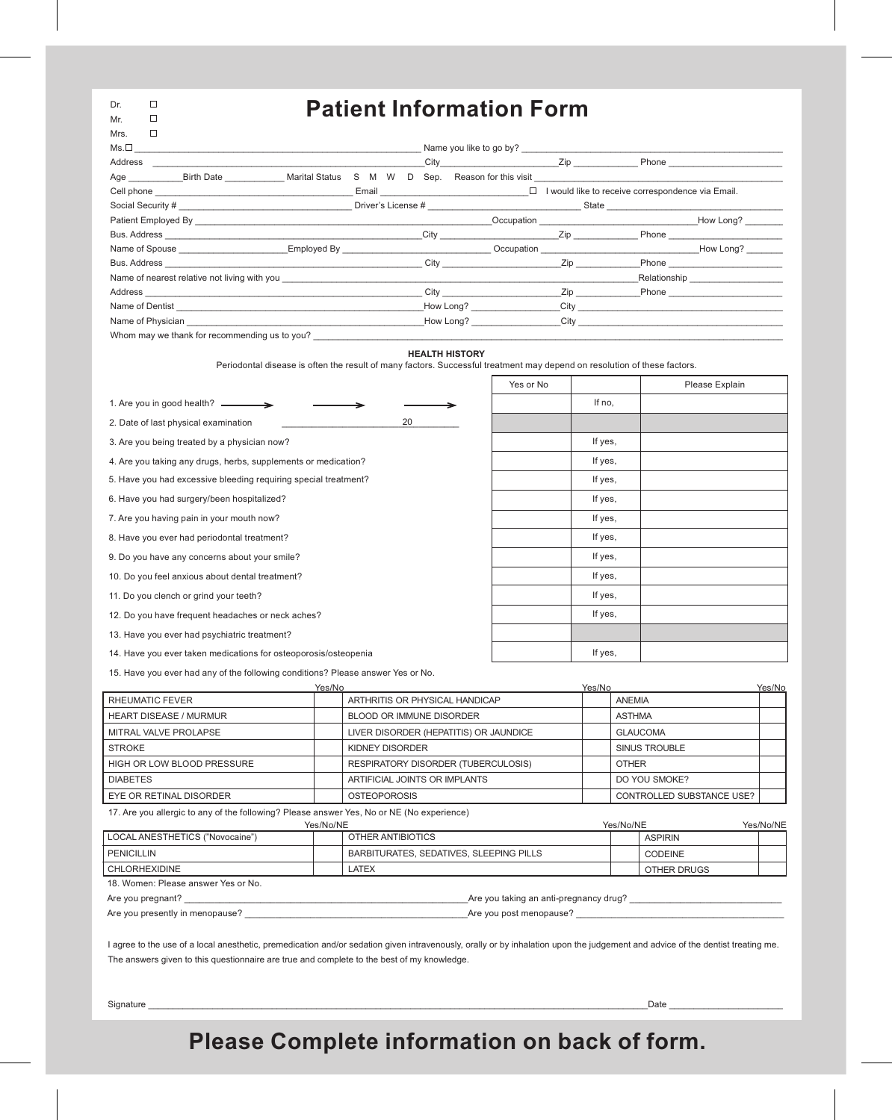| Dr. | H  |
|-----|----|
| Mr  | LТ |

Mrs.  $\Box$ 

## . **Patient Information Form**

|                                                                                                                                                                                                                                |        |   |  | City <b>Zip</b>                                                                                                                                                                                                                |                                                                                                                |                                                                                                                                                                                                                                      | Phone <u>__________</u>            |
|--------------------------------------------------------------------------------------------------------------------------------------------------------------------------------------------------------------------------------|--------|---|--|--------------------------------------------------------------------------------------------------------------------------------------------------------------------------------------------------------------------------------|----------------------------------------------------------------------------------------------------------------|--------------------------------------------------------------------------------------------------------------------------------------------------------------------------------------------------------------------------------------|------------------------------------|
| Age Birth Date Marital Status                                                                                                                                                                                                  | S<br>M | W |  | D Sep. Reason for this visit example and the set of the set of the set of the set of the set of the set of the set of the set of the set of the set of the set of the set of the set of the set of the set of the set of the s |                                                                                                                |                                                                                                                                                                                                                                      |                                    |
|                                                                                                                                                                                                                                |        |   |  | Email $\Box$ I would like to receive correspondence via Email.                                                                                                                                                                 |                                                                                                                |                                                                                                                                                                                                                                      |                                    |
|                                                                                                                                                                                                                                |        |   |  |                                                                                                                                                                                                                                |                                                                                                                |                                                                                                                                                                                                                                      |                                    |
|                                                                                                                                                                                                                                |        |   |  |                                                                                                                                                                                                                                |                                                                                                                | Occupation <b>Now Long?</b> Now Long?                                                                                                                                                                                                |                                    |
| Bus. Address Phone Phone Phone Phone Phone Phone Phone Phone Phone Phone Phone Phone Phone Phone Phone Phone Phone Phone Phone Phone Phone Phone Phone Phone Phone Phone Phone Phone Phone Phone Phone Phone Phone Phone Phone |        |   |  |                                                                                                                                                                                                                                |                                                                                                                |                                                                                                                                                                                                                                      |                                    |
| Name of Spouse <b>Employed By</b> Employed By                                                                                                                                                                                  |        |   |  |                                                                                                                                                                                                                                |                                                                                                                | Occupation <b>Contract Contract Contract Contract Contract Contract Contract Contract Contract Contract Contract Contract Contract Contract Contract Contract Contract Contract Contract Contract Contract Contract Contract Con</b> |                                    |
|                                                                                                                                                                                                                                |        |   |  | City <b>City City</b>                                                                                                                                                                                                          |                                                                                                                |                                                                                                                                                                                                                                      | <b>Phone Example 20</b>            |
| Name of nearest relative not living with you contained to the contact the contact of the contact of the contact of the contact of the contact of the contact of the contact of the contact of the contact of the contact of th |        |   |  |                                                                                                                                                                                                                                |                                                                                                                |                                                                                                                                                                                                                                      | Relationship _____________________ |
| Address <b>Address Address Address Address Address Address Address Address Address Address Address Address Address Address Address Address Address Address Address Address Address Add</b>                                     |        |   |  |                                                                                                                                                                                                                                | Zip and the set of the set of the set of the set of the set of the set of the set of the set of the set of the |                                                                                                                                                                                                                                      |                                    |
|                                                                                                                                                                                                                                |        |   |  | How Long? City City                                                                                                                                                                                                            |                                                                                                                |                                                                                                                                                                                                                                      |                                    |
|                                                                                                                                                                                                                                |        |   |  | How Long? City                                                                                                                                                                                                                 |                                                                                                                |                                                                                                                                                                                                                                      |                                    |
| Whom may we thank for recommending us to you?                                                                                                                                                                                  |        |   |  |                                                                                                                                                                                                                                |                                                                                                                |                                                                                                                                                                                                                                      |                                    |

### **HEALTH HISTORY**

Periodontal disease is often the result of many factors. Successful treatment may depend on resolution of these factors.

- F

┯

⊤

|                                                                 | Yes or No |         | Please Explain |
|-----------------------------------------------------------------|-----------|---------|----------------|
| 1. Are you in good health? ________                             |           | If no,  |                |
| 20<br>2. Date of last physical examination                      |           |         |                |
| 3. Are you being treated by a physician now?                    |           | If yes, |                |
| 4. Are you taking any drugs, herbs, supplements or medication?  |           | If yes, |                |
| 5. Have you had excessive bleeding requiring special treatment? |           | If yes, |                |
| 6. Have you had surgery/been hospitalized?                      |           | If yes, |                |
| 7. Are you having pain in your mouth now?                       |           | If yes, |                |
| 8. Have you ever had periodontal treatment?                     |           | If yes, |                |
| 9. Do you have any concerns about your smile?                   |           | If yes, |                |
| 10. Do you feel anxious about dental treatment?                 |           | If yes, |                |
| 11. Do you clench or grind your teeth?                          |           | If yes, |                |
| 12. Do you have frequent headaches or neck aches?               |           | If yes, |                |
| 13. Have you ever had psychiatric treatment?                    |           |         |                |
| 14. Have you ever taken medications for osteoporosis/osteopenia |           | If yes, |                |
|                                                                 |           |         |                |

15. Have you ever had any of the following conditions? Please answer Yes or No.

|                               | Yes/No |                                        | Yes/No |                           | Yes/No |
|-------------------------------|--------|----------------------------------------|--------|---------------------------|--------|
| RHEUMATIC FEVER               |        | ARTHRITIS OR PHYSICAL HANDICAP         |        | <b>ANEMIA</b>             |        |
| <b>HEART DISEASE / MURMUR</b> |        | BLOOD OR IMMUNE DISORDER               |        | <b>ASTHMA</b>             |        |
| MITRAL VALVE PROLAPSE         |        | LIVER DISORDER (HEPATITIS) OR JAUNDICE |        | <b>GLAUCOMA</b>           |        |
| <b>STROKE</b>                 |        | KIDNEY DISORDER                        |        | SINUS TROUBLE             |        |
| HIGH OR LOW BLOOD PRESSURE    |        | RESPIRATORY DISORDER (TUBERCULOSIS)    |        | <b>OTHER</b>              |        |
| <b>DIABETES</b>               |        | ARTIFICIAL JOINTS OR IMPLANTS          |        | DO YOU SMOKE?             |        |
| EYE OR RETINAL DISORDER       |        | <b>OSTEOPOROSIS</b>                    |        | CONTROLLED SUBSTANCE USE? |        |

17. Are you allergic to any of the following? Please answer Yes, No or NE (No experience)

|                                     | Yes/No/NE                               | Yes/No/NE      |  |  |  |
|-------------------------------------|-----------------------------------------|----------------|--|--|--|
| LOCAL ANESTHETICS ("Novocaine")     | OTHER ANTIBIOTICS                       | <b>ASPIRIN</b> |  |  |  |
| <b>PENICILLIN</b>                   | BARBITURATES, SEDATIVES, SLEEPING PILLS | <b>CODEINE</b> |  |  |  |
| I CHLORHEXIDINE                     | LATEX                                   | OTHER DRUGS    |  |  |  |
| 18. Women: Please answer Yes or No. |                                         |                |  |  |  |
| Are you pregnant?                   | Are you taking an anti-pregnancy drug?  |                |  |  |  |
| Are you presently in menopause?     | Are you post menopause?                 |                |  |  |  |

I agree to the use of a local anesthetic, premedication and/or sedation given intravenously, orally or by inhalation upon the judgement and advice of the dentist treating me. The answers given to this questionnaire are true and complete to the best of my knowledge.

Signature \_\_\_\_\_\_\_\_\_\_\_\_\_\_\_\_\_\_\_\_\_\_\_\_\_\_\_\_\_\_\_\_\_\_\_\_\_\_\_\_\_\_\_\_\_\_\_\_\_\_\_\_\_\_\_\_\_\_\_\_\_\_\_\_\_\_\_\_\_\_\_\_\_\_\_\_\_\_\_\_\_\_\_\_\_\_\_\_\_\_\_\_\_\_\_\_\_\_\_\_\_Date \_\_\_\_\_\_\_\_\_\_\_\_\_\_\_\_\_\_\_\_\_\_\_

# **Please Complete information on back of form.**